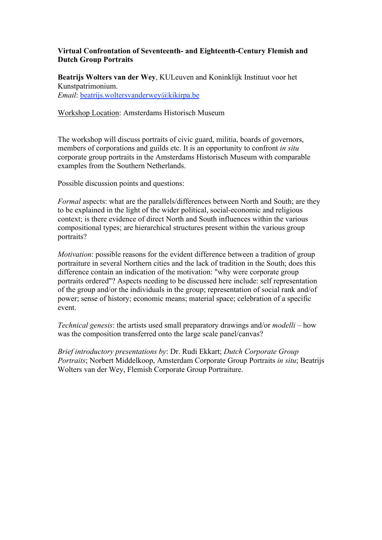# **Virtual Confrontation of Seventeenth- and Eighteenth-Century Flemish and Dutch Group Portraits**

**Beatrijs Wolters van der Wey**, KULeuven and Koninklijk Instituut voor het Kunstpatrimonium. *Email*: beatrijs.woltersvanderwey@kikirpa.be

Workshop Location: Amsterdams Historisch Museum

The workshop will discuss portraits of civic guard, militia, boards of governors, members of corporations and guilds etc. It is an opportunity to confront *in situ*  corporate group portraits in the Amsterdams Historisch Museum with comparable examples from the Southern Netherlands.

Possible discussion points and questions:

*Formal* aspects: what are the parallels/differences between North and South: are they to be explained in the light of the wider political, social-economic and religious context; is there evidence of direct North and South influences within the various compositional types; are hierarchical structures present within the various group portraits?

*Motivation*: possible reasons for the evident difference between a tradition of group portraiture in several Northern cities and the lack of tradition in the South; does this difference contain an indication of the motivation: "why were corporate group portraits ordered"? Aspects needing to be discussed here include: self representation of the group and/or the individuals in the group; representation of social rank and/of power; sense of history; economic means; material space; celebration of a specific event.

*Technical genesis*: the artists used small preparatory drawings and/or *modelli* – how was the composition transferred onto the large scale panel/canvas?

*Brief introductory presentations by*: Dr. Rudi Ekkart; *Dutch Corporate Group Portraits*; Norbert Middelkoop, Amsterdam Corporate Group Portraits *in situ*; Beatrijs Wolters van der Wey, Flemish Corporate Group Portraiture.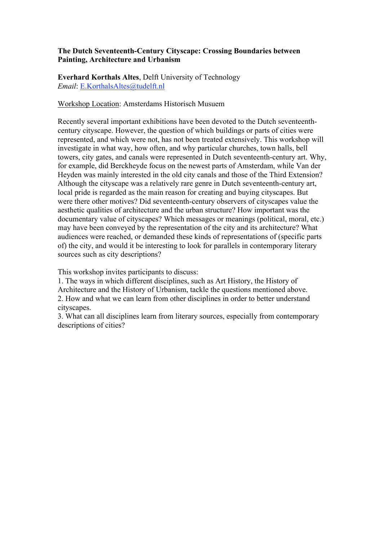# **The Dutch Seventeenth-Century Cityscape: Crossing Boundaries between Painting, Architecture and Urbanism**

**Everhard Korthals Altes**, Delft University of Technology *Email*: E.KorthalsAltes@tudelft.nl

Workshop Location: Amsterdams Historisch Musuem

Recently several important exhibitions have been devoted to the Dutch seventeenthcentury cityscape. However, the question of which buildings or parts of cities were represented, and which were not, has not been treated extensively. This workshop will investigate in what way, how often, and why particular churches, town halls, bell towers, city gates, and canals were represented in Dutch seventeenth-century art. Why, for example, did Berckheyde focus on the newest parts of Amsterdam, while Van der Heyden was mainly interested in the old city canals and those of the Third Extension? Although the cityscape was a relatively rare genre in Dutch seventeenth-century art, local pride is regarded as the main reason for creating and buying cityscapes. But were there other motives? Did seventeenth-century observers of cityscapes value the aesthetic qualities of architecture and the urban structure? How important was the documentary value of cityscapes? Which messages or meanings (political, moral, etc.) may have been conveyed by the representation of the city and its architecture? What audiences were reached, or demanded these kinds of representations of (specific parts of) the city, and would it be interesting to look for parallels in contemporary literary sources such as city descriptions?

This workshop invites participants to discuss:

1. The ways in which different disciplines, such as Art History, the History of Architecture and the History of Urbanism, tackle the questions mentioned above. 2. How and what we can learn from other disciplines in order to better understand cityscapes.

3. What can all disciplines learn from literary sources, especially from contemporary descriptions of cities?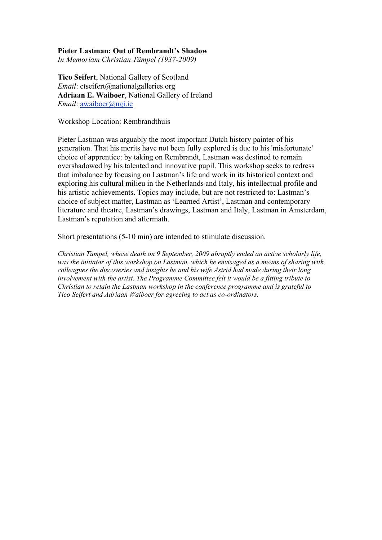#### **Pieter Lastman: Out of Rembrandt's Shadow**

*In Memoriam Christian Tümpel (1937-2009)*

**Tico Seifert**, National Gallery of Scotland *Email*: ctseifert@nationalgalleries.org **Adriaan E. Waiboer**, National Gallery of Ireland *Email*: awaiboer@ngi.ie

#### Workshop Location: Rembrandthuis

Pieter Lastman was arguably the most important Dutch history painter of his generation. That his merits have not been fully explored is due to his 'misfortunate' choice of apprentice: by taking on Rembrandt, Lastman was destined to remain overshadowed by his talented and innovative pupil. This workshop seeks to redress that imbalance by focusing on Lastman's life and work in its historical context and exploring his cultural milieu in the Netherlands and Italy, his intellectual profile and his artistic achievements. Topics may include, but are not restricted to: Lastman's choice of subject matter, Lastman as 'Learned Artist', Lastman and contemporary literature and theatre, Lastman's drawings, Lastman and Italy, Lastman in Amsterdam, Lastman's reputation and aftermath.

Short presentations (5-10 min) are intended to stimulate discussion.

*Christian Tümpel, whose death on 9 September, 2009 abruptly ended an active scholarly life, was the initiator of this workshop on Lastman, which he envisaged as a means of sharing with colleagues the discoveries and insights he and his wife Astrid had made during their long involvement with the artist. The Programme Committee felt it would be a fitting tribute to Christian to retain the Lastman workshop in the conference programme and is grateful to Tico Seifert and Adriaan Waiboer for agreeing to act as co-ordinators.*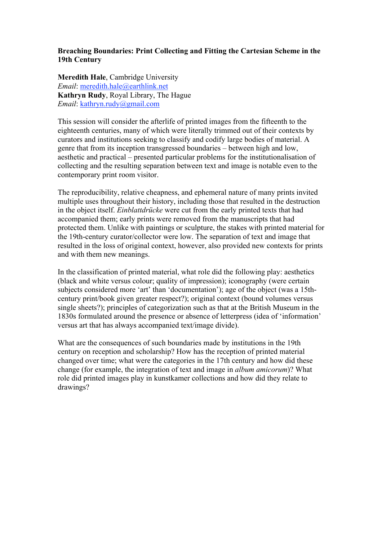# **Breaching Boundaries: Print Collecting and Fitting the Cartesian Scheme in the 19th Century**

**Meredith Hale**, Cambridge University *Email*: meredith.hale@earthlink.net **Kathryn Rudy**, Royal Library, The Hague *Email*: kathryn.rudy@gmail.com

This session will consider the afterlife of printed images from the fifteenth to the eighteenth centuries, many of which were literally trimmed out of their contexts by curators and institutions seeking to classify and codify large bodies of material. A genre that from its inception transgressed boundaries – between high and low, aesthetic and practical – presented particular problems for the institutionalisation of collecting and the resulting separation between text and image is notable even to the contemporary print room visitor.

The reproducibility, relative cheapness, and ephemeral nature of many prints invited multiple uses throughout their history, including those that resulted in the destruction in the object itself. *Einblattdrücke* were cut from the early printed texts that had accompanied them; early prints were removed from the manuscripts that had protected them. Unlike with paintings or sculpture, the stakes with printed material for the 19th-century curator/collector were low. The separation of text and image that resulted in the loss of original context, however, also provided new contexts for prints and with them new meanings.

In the classification of printed material, what role did the following play: aesthetics (black and white versus colour; quality of impression); iconography (were certain subjects considered more 'art' than 'documentation'); age of the object (was a 15thcentury print/book given greater respect?); original context (bound volumes versus single sheets?); principles of categorization such as that at the British Museum in the 1830s formulated around the presence or absence of letterpress (idea of 'information' versus art that has always accompanied text/image divide).

What are the consequences of such boundaries made by institutions in the 19th century on reception and scholarship? How has the reception of printed material changed over time; what were the categories in the 17th century and how did these change (for example, the integration of text and image in *album amicorum*)? What role did printed images play in kunstkamer collections and how did they relate to drawings?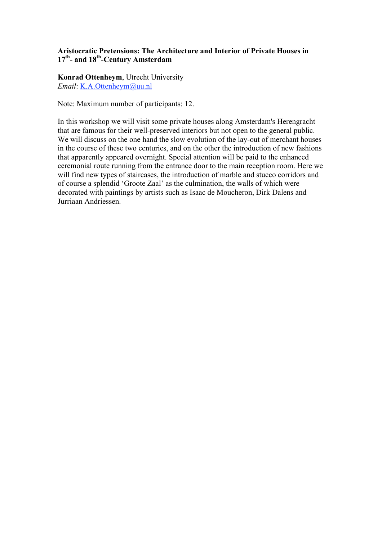# **Aristocratic Pretensions: The Architecture and Interior of Private Houses in 17th- and 18th-Century Amsterdam**

**Konrad Ottenheym**, Utrecht University *Email*: K.A.Ottenheym@uu.nl

Note: Maximum number of participants: 12.

In this workshop we will visit some private houses along Amsterdam's Herengracht that are famous for their well-preserved interiors but not open to the general public. We will discuss on the one hand the slow evolution of the lay-out of merchant houses in the course of these two centuries, and on the other the introduction of new fashions that apparently appeared overnight. Special attention will be paid to the enhanced ceremonial route running from the entrance door to the main reception room. Here we will find new types of staircases, the introduction of marble and stucco corridors and of course a splendid 'Groote Zaal' as the culmination, the walls of which were decorated with paintings by artists such as Isaac de Moucheron, Dirk Dalens and Jurriaan Andriessen.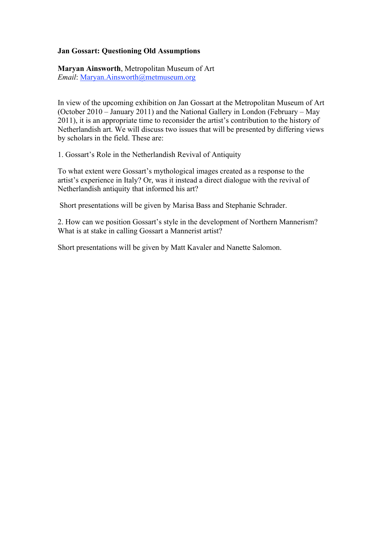# **Jan Gossart: Questioning Old Assumptions**

**Maryan Ainsworth**, Metropolitan Museum of Art *Email*: Maryan.Ainsworth@metmuseum.org

In view of the upcoming exhibition on Jan Gossart at the Metropolitan Museum of Art (October 2010 – January 2011) and the National Gallery in London (February – May 2011), it is an appropriate time to reconsider the artist's contribution to the history of Netherlandish art. We will discuss two issues that will be presented by differing views by scholars in the field. These are:

1. Gossart's Role in the Netherlandish Revival of Antiquity

To what extent were Gossart's mythological images created as a response to the artist's experience in Italy? Or, was it instead a direct dialogue with the revival of Netherlandish antiquity that informed his art?

Short presentations will be given by Marisa Bass and Stephanie Schrader.

2. How can we position Gossart's style in the development of Northern Mannerism? What is at stake in calling Gossart a Mannerist artist?

Short presentations will be given by Matt Kavaler and Nanette Salomon.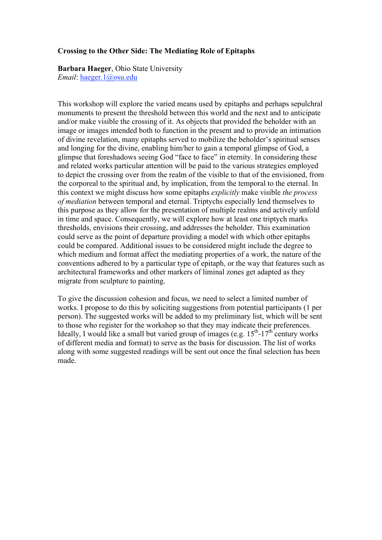#### **Crossing to the Other Side: The Mediating Role of Epitaphs**

**Barbara Haeger**, Ohio State University *Email*: haeger.1@osu.edu

This workshop will explore the varied means used by epitaphs and perhaps sepulchral monuments to present the threshold between this world and the next and to anticipate and/or make visible the crossing of it. As objects that provided the beholder with an image or images intended both to function in the present and to provide an intimation of divine revelation, many epitaphs served to mobilize the beholder's spiritual senses and longing for the divine, enabling him/her to gain a temporal glimpse of God, a glimpse that foreshadows seeing God "face to face" in eternity. In considering these and related works particular attention will be paid to the various strategies employed to depict the crossing over from the realm of the visible to that of the envisioned, from the corporeal to the spiritual and, by implication, from the temporal to the eternal. In this context we might discuss how some epitaphs *explicitly* make visible *the process of mediation* between temporal and eternal. Triptychs especially lend themselves to this purpose as they allow for the presentation of multiple realms and actively unfold in time and space. Consequently, we will explore how at least one triptych marks thresholds, envisions their crossing, and addresses the beholder. This examination could serve as the point of departure providing a model with which other epitaphs could be compared. Additional issues to be considered might include the degree to which medium and format affect the mediating properties of a work, the nature of the conventions adhered to by a particular type of epitaph, or the way that features such as architectural frameworks and other markers of liminal zones get adapted as they migrate from sculpture to painting.

To give the discussion cohesion and focus, we need to select a limited number of works. I propose to do this by soliciting suggestions from potential participants (1 per person). The suggested works will be added to my preliminary list, which will be sent to those who register for the workshop so that they may indicate their preferences. Ideally, I would like a small but varied group of images (e.g.  $15<sup>th</sup>$ -17<sup>th</sup> century works of different media and format) to serve as the basis for discussion. The list of works along with some suggested readings will be sent out once the final selection has been made.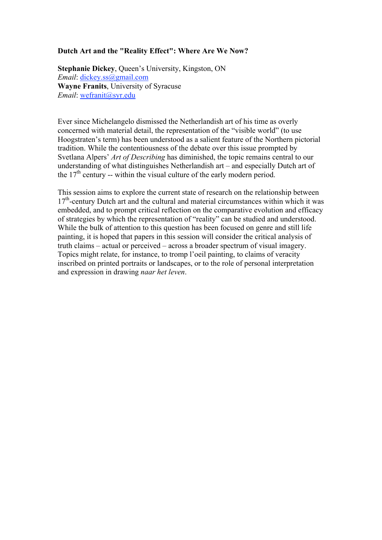# **Dutch Art and the "Reality Effect": Where Are We Now?**

**Stephanie Dickey**, Queen's University, Kingston, ON *Email*: dickey.ss@gmail.com **Wayne Franits**, University of Syracuse *Email*: wefranit@syr.edu

Ever since Michelangelo dismissed the Netherlandish art of his time as overly concerned with material detail, the representation of the "visible world" (to use Hoogstraten's term) has been understood as a salient feature of the Northern pictorial tradition. While the contentiousness of the debate over this issue prompted by Svetlana Alpers' *Art of Describing* has diminished, the topic remains central to our understanding of what distinguishes Netherlandish art – and especially Dutch art of the  $17<sup>th</sup>$  century -- within the visual culture of the early modern period.

This session aims to explore the current state of research on the relationship between  $17<sup>th</sup>$ -century Dutch art and the cultural and material circumstances within which it was embedded, and to prompt critical reflection on the comparative evolution and efficacy of strategies by which the representation of "reality" can be studied and understood. While the bulk of attention to this question has been focused on genre and still life painting, it is hoped that papers in this session will consider the critical analysis of truth claims – actual or perceived – across a broader spectrum of visual imagery. Topics might relate, for instance, to tromp l'oeil painting, to claims of veracity inscribed on printed portraits or landscapes, or to the role of personal interpretation and expression in drawing *naar het leven*.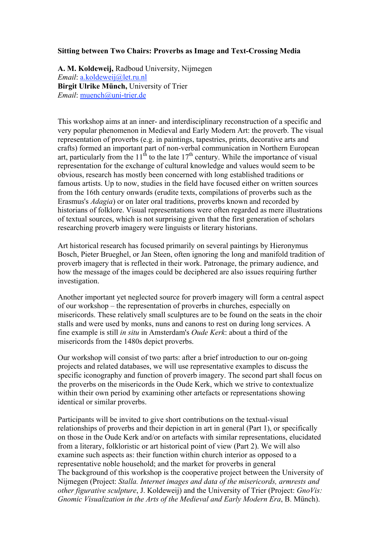## **Sitting between Two Chairs: Proverbs as Image and Text-Crossing Media**

**A. M. Koldeweij,** Radboud University, Nijmegen *Email*: a.koldeweij@let.ru.nl **Birgit Ulrike Münch,** University of Trier *Email*: muench@uni-trier.de

This workshop aims at an inner- and interdisciplinary reconstruction of a specific and very popular phenomenon in Medieval and Early Modern Art: the proverb. The visual representation of proverbs (e.g. in paintings, tapestries, prints, decorative arts and crafts) formed an important part of non-verbal communication in Northern European art, particularly from the 11<sup>th</sup> to the late 17<sup>th</sup> century. While the importance of visual representation for the exchange of cultural knowledge and values would seem to be obvious, research has mostly been concerned with long established traditions or famous artists. Up to now, studies in the field have focused either on written sources from the 16th century onwards (erudite texts, compilations of proverbs such as the Erasmus's *Adagia*) or on later oral traditions, proverbs known and recorded by historians of folklore. Visual representations were often regarded as mere illustrations of textual sources, which is not surprising given that the first generation of scholars researching proverb imagery were linguists or literary historians.

Art historical research has focused primarily on several paintings by Hieronymus Bosch, Pieter Brueghel, or Jan Steen, often ignoring the long and manifold tradition of proverb imagery that is reflected in their work. Patronage, the primary audience, and how the message of the images could be deciphered are also issues requiring further investigation.

Another important yet neglected source for proverb imagery will form a central aspect of our workshop – the representation of proverbs in churches, especially on misericords. These relatively small sculptures are to be found on the seats in the choir stalls and were used by monks, nuns and canons to rest on during long services. A fine example is still *in situ* in Amsterdam's *Oude Kerk*: about a third of the misericords from the 1480s depict proverbs.

Our workshop will consist of two parts: after a brief introduction to our on-going projects and related databases, we will use representative examples to discuss the specific iconography and function of proverb imagery. The second part shall focus on the proverbs on the misericords in the Oude Kerk, which we strive to contextualize within their own period by examining other artefacts or representations showing identical or similar proverbs.

Participants will be invited to give short contributions on the textual-visual relationships of proverbs and their depiction in art in general (Part 1), or specifically on those in the Oude Kerk and/or on artefacts with similar representations, elucidated from a literary, folkloristic or art historical point of view (Part 2). We will also examine such aspects as: their function within church interior as opposed to a representative noble household; and the market for proverbs in general The background of this workshop is the cooperative project between the University of Nijmegen (Project: *Stalla. Internet images and data of the misericords, armrests and other figurative sculpture*, J. Koldeweij) and the University of Trier (Project: *GnoVis: Gnomic Visualization in the Arts of the Medieval and Early Modern Era*, B. Münch).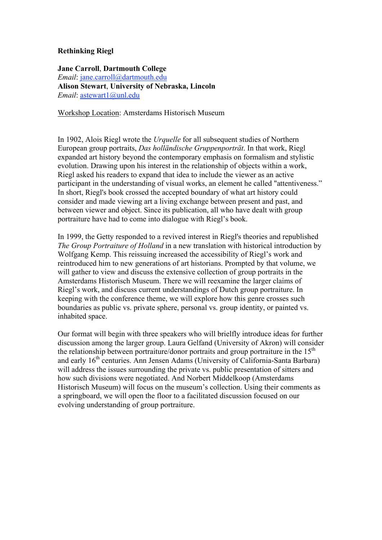# **Rethinking Riegl**

# **Jane Carroll**, **Dartmouth College** *Email*: jane.carroll@dartmouth.edu **Alison Stewart**, **University of Nebraska, Lincoln** *Email*: astewart1@unl.edu

Workshop Location: Amsterdams Historisch Museum

In 1902, Alois Riegl wrote the *Urquelle* for all subsequent studies of Northern European group portraits, *Das holländische Gruppenporträt*. In that work, Riegl expanded art history beyond the contemporary emphasis on formalism and stylistic evolution. Drawing upon his interest in the relationship of objects within a work, Riegl asked his readers to expand that idea to include the viewer as an active participant in the understanding of visual works, an element he called "attentiveness." In short, Riegl's book crossed the accepted boundary of what art history could consider and made viewing art a living exchange between present and past, and between viewer and object. Since its publication, all who have dealt with group portraiture have had to come into dialogue with Riegl's book.

In 1999, the Getty responded to a revived interest in Riegl's theories and republished *The Group Portraiture of Holland* in a new translation with historical introduction by Wolfgang Kemp. This reissuing increased the accessibility of Riegl's work and reintroduced him to new generations of art historians. Prompted by that volume, we will gather to view and discuss the extensive collection of group portraits in the Amsterdams Historisch Museum. There we will reexamine the larger claims of Riegl's work, and discuss current understandings of Dutch group portraiture. In keeping with the conference theme, we will explore how this genre crosses such boundaries as public vs. private sphere, personal vs. group identity, or painted vs. inhabited space.

Our format will begin with three speakers who will brielfly introduce ideas for further discussion among the larger group. Laura Gelfand (University of Akron) will consider the relationship between portraiture/donor portraits and group portraiture in the  $15<sup>th</sup>$ and early 16<sup>th</sup> centuries. Ann Jensen Adams (University of California-Santa Barbara) will address the issues surrounding the private vs. public presentation of sitters and how such divisions were negotiated. And Norbert Middelkoop (Amsterdams Historisch Museum) will focus on the museum's collection. Using their comments as a springboard, we will open the floor to a facilitated discussion focused on our evolving understanding of group portraiture.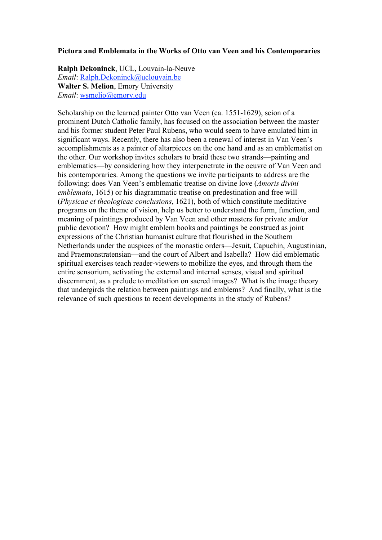#### **Pictura and Emblemata in the Works of Otto van Veen and his Contemporaries**

**Ralph Dekoninck**, UCL, Louvain-la-Neuve *Email*: Ralph.Dekoninck@uclouvain.be **Walter S. Melion**, Emory University *Email*: wsmelio@emory.edu

Scholarship on the learned painter Otto van Veen (ca. 1551-1629), scion of a prominent Dutch Catholic family, has focused on the association between the master and his former student Peter Paul Rubens, who would seem to have emulated him in significant ways. Recently, there has also been a renewal of interest in Van Veen's accomplishments as a painter of altarpieces on the one hand and as an emblematist on the other. Our workshop invites scholars to braid these two strands—painting and emblematics—by considering how they interpenetrate in the oeuvre of Van Veen and his contemporaries. Among the questions we invite participants to address are the following: does Van Veen's emblematic treatise on divine love (*Amoris divini emblemata*, 1615) or his diagrammatic treatise on predestination and free will (*Physicae et theologicae conclusions*, 1621), both of which constitute meditative programs on the theme of vision, help us better to understand the form, function, and meaning of paintings produced by Van Veen and other masters for private and/or public devotion? How might emblem books and paintings be construed as joint expressions of the Christian humanist culture that flourished in the Southern Netherlands under the auspices of the monastic orders—Jesuit, Capuchin, Augustinian, and Praemonstratensian—and the court of Albert and Isabella? How did emblematic spiritual exercises teach reader-viewers to mobilize the eyes, and through them the entire sensorium, activating the external and internal senses, visual and spiritual discernment, as a prelude to meditation on sacred images? What is the image theory that undergirds the relation between paintings and emblems? And finally, what is the relevance of such questions to recent developments in the study of Rubens?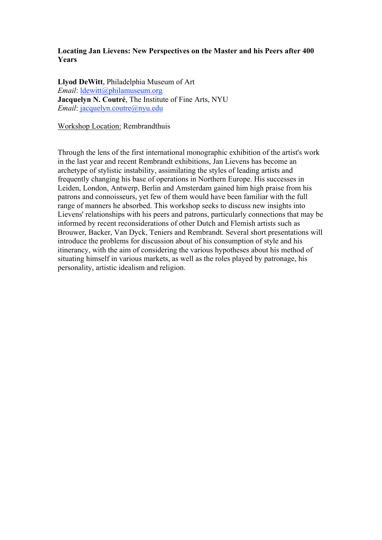# **Locating Jan Lievens: New Perspectives on the Master and his Peers after 400 Years**

**Llyod DeWitt**, Philadelphia Museum of Art *Email*: ldewitt@philamuseum.org **Jacquelyn N. Coutré**, The Institute of Fine Arts, NYU *Email*: jacquelyn.coutre@nyu.edu

Workshop Location: Rembrandthuis

Through the lens of the first international monographic exhibition of the artist's work in the last year and recent Rembrandt exhibitions, Jan Lievens has become an archetype of stylistic instability, assimilating the styles of leading artists and frequently changing his base of operations in Northern Europe. His successes in Leiden, London, Antwerp, Berlin and Amsterdam gained him high praise from his patrons and connoisseurs, yet few of them would have been familiar with the full range of manners he absorbed. This workshop seeks to discuss new insights into Lievens' relationships with his peers and patrons, particularly connections that may be informed by recent reconsiderations of other Dutch and Flemish artists such as Brouwer, Backer, Van Dyck, Teniers and Rembrandt. Several short presentations will introduce the problems for discussion about of his consumption of style and his itinerancy, with the aim of considering the various hypotheses about his method of situating himself in various markets, as well as the roles played by patronage, his personality, artistic idealism and religion.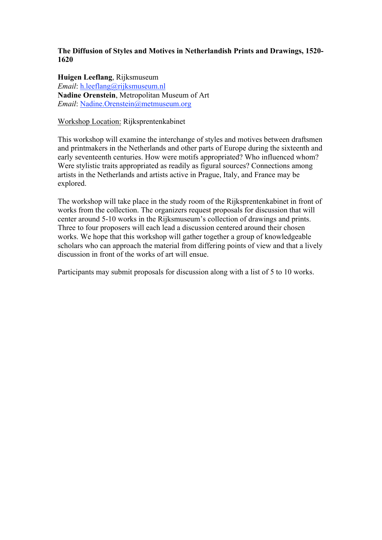# **The Diffusion of Styles and Motives in Netherlandish Prints and Drawings, 1520- 1620**

**Huigen Leeflang**, Rijksmuseum *Email*: h.leeflang@rijksmuseum.nl **Nadine Orenstein**, Metropolitan Museum of Art *Email*: Nadine.Orenstein@metmuseum.org

#### Workshop Location: Rijksprentenkabinet

This workshop will examine the interchange of styles and motives between draftsmen and printmakers in the Netherlands and other parts of Europe during the sixteenth and early seventeenth centuries. How were motifs appropriated? Who influenced whom? Were stylistic traits appropriated as readily as figural sources? Connections among artists in the Netherlands and artists active in Prague, Italy, and France may be explored.

The workshop will take place in the study room of the Rijksprentenkabinet in front of works from the collection. The organizers request proposals for discussion that will center around 5-10 works in the Rijksmuseum's collection of drawings and prints. Three to four proposers will each lead a discussion centered around their chosen works. We hope that this workshop will gather together a group of knowledgeable scholars who can approach the material from differing points of view and that a lively discussion in front of the works of art will ensue.

Participants may submit proposals for discussion along with a list of 5 to 10 works.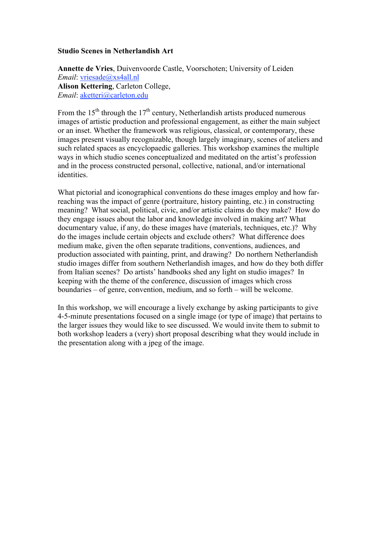#### **Studio Scenes in Netherlandish Art**

**Annette de Vries**, Duivenvoorde Castle, Voorschoten; University of Leiden *Email*: vriesade@xs4all.nl **Alison Kettering**, Carleton College, *Email*: aketteri@carleton.edu

From the 15<sup>th</sup> through the 17<sup>th</sup> century, Netherlandish artists produced numerous images of artistic production and professional engagement, as either the main subject or an inset. Whether the framework was religious, classical, or contemporary, these images present visually recognizable, though largely imaginary, scenes of ateliers and such related spaces as encyclopaedic galleries. This workshop examines the multiple ways in which studio scenes conceptualized and meditated on the artist's profession and in the process constructed personal, collective, national, and/or international identities.

What pictorial and iconographical conventions do these images employ and how farreaching was the impact of genre (portraiture, history painting, etc.) in constructing meaning? What social, political, civic, and/or artistic claims do they make? How do they engage issues about the labor and knowledge involved in making art? What documentary value, if any, do these images have (materials, techniques, etc.)? Why do the images include certain objects and exclude others? What difference does medium make, given the often separate traditions, conventions, audiences, and production associated with painting, print, and drawing? Do northern Netherlandish studio images differ from southern Netherlandish images, and how do they both differ from Italian scenes? Do artists' handbooks shed any light on studio images? In keeping with the theme of the conference, discussion of images which cross boundaries – of genre, convention, medium, and so forth – will be welcome.

In this workshop, we will encourage a lively exchange by asking participants to give 4-5-minute presentations focused on a single image (or type of image) that pertains to the larger issues they would like to see discussed. We would invite them to submit to both workshop leaders a (very) short proposal describing what they would include in the presentation along with a jpeg of the image.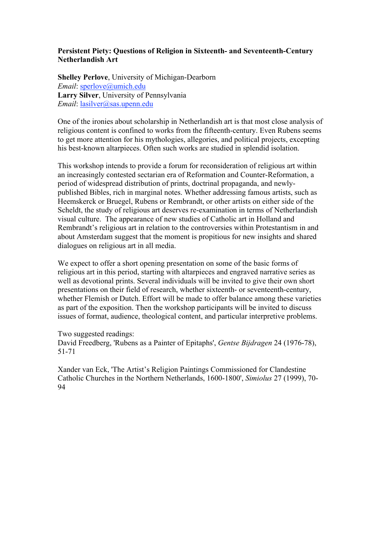# **Persistent Piety: Questions of Religion in Sixteenth- and Seventeenth-Century Netherlandish Art**

**Shelley Perlove**, University of Michigan-Dearborn *Email*: sperlove@umich.edu **Larry Silver**, University of Pennsylvania *Email*: lasilver@sas.upenn.edu

One of the ironies about scholarship in Netherlandish art is that most close analysis of religious content is confined to works from the fifteenth-century. Even Rubens seems to get more attention for his mythologies, allegories, and political projects, excepting his best-known altarpieces. Often such works are studied in splendid isolation.

This workshop intends to provide a forum for reconsideration of religious art within an increasingly contested sectarian era of Reformation and Counter-Reformation, a period of widespread distribution of prints, doctrinal propaganda, and newlypublished Bibles, rich in marginal notes. Whether addressing famous artists, such as Heemskerck or Bruegel, Rubens or Rembrandt, or other artists on either side of the Scheldt, the study of religious art deserves re-examination in terms of Netherlandish visual culture. The appearance of new studies of Catholic art in Holland and Rembrandt's religious art in relation to the controversies within Protestantism in and about Amsterdam suggest that the moment is propitious for new insights and shared dialogues on religious art in all media.

We expect to offer a short opening presentation on some of the basic forms of religious art in this period, starting with altarpieces and engraved narrative series as well as devotional prints. Several individuals will be invited to give their own short presentations on their field of research, whether sixteenth- or seventeenth-century, whether Flemish or Dutch. Effort will be made to offer balance among these varieties as part of the exposition. Then the workshop participants will be invited to discuss issues of format, audience, theological content, and particular interpretive problems.

Two suggested readings:

David Freedberg, 'Rubens as a Painter of Epitaphs', *Gentse Bijdragen* 24 (1976-78), 51-71

Xander van Eck, 'The Artist's Religion Paintings Commissioned for Clandestine Catholic Churches in the Northern Netherlands, 1600-1800', *Simiolus* 27 (1999), 70- 94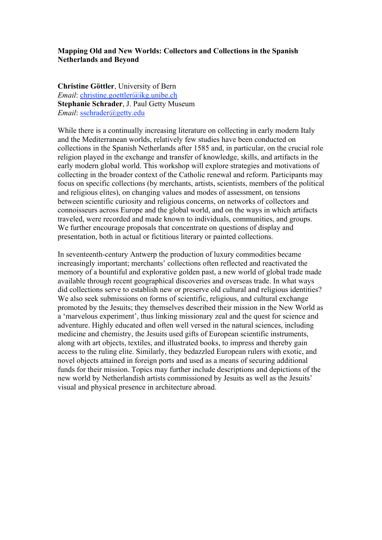#### **Mapping Old and New Worlds: Collectors and Collections in the Spanish Netherlands and Beyond**

**Christine Göttler**, University of Bern *Email*: christine.goettler@ikg.unibe.ch **Stephanie Schrader**, J. Paul Getty Museum *Email*: sschrader@getty.edu

While there is a continually increasing literature on collecting in early modern Italy and the Mediterranean worlds, relatively few studies have been conducted on collections in the Spanish Netherlands after 1585 and, in particular, on the crucial role religion played in the exchange and transfer of knowledge, skills, and artifacts in the early modern global world. This workshop will explore strategies and motivations of collecting in the broader context of the Catholic renewal and reform. Participants may focus on specific collections (by merchants, artists, scientists, members of the political and religious elites), on changing values and modes of assessment, on tensions between scientific curiosity and religious concerns, on networks of collectors and connoisseurs across Europe and the global world, and on the ways in which artifacts traveled, were recorded and made known to individuals, communities, and groups. We further encourage proposals that concentrate on questions of display and presentation, both in actual or fictitious literary or painted collections.

In seventeenth-century Antwerp the production of luxury commodities became increasingly important; merchants' collections often reflected and reactivated the memory of a bountiful and explorative golden past, a new world of global trade made available through recent geographical discoveries and overseas trade. In what ways did collections serve to establish new or preserve old cultural and religious identities? We also seek submissions on forms of scientific, religious, and cultural exchange promoted by the Jesuits; they themselves described their mission in the New World as a 'marvelous experiment', thus linking missionary zeal and the quest for science and adventure. Highly educated and often well versed in the natural sciences, including medicine and chemistry, the Jesuits used gifts of European scientific instruments, along with art objects, textiles, and illustrated books, to impress and thereby gain access to the ruling elite. Similarly, they bedazzled European rulers with exotic, and novel objects attained in foreign ports and used as a means of securing additional funds for their mission. Topics may further include descriptions and depictions of the new world by Netherlandish artists commissioned by Jesuits as well as the Jesuits' visual and physical presence in architecture abroad.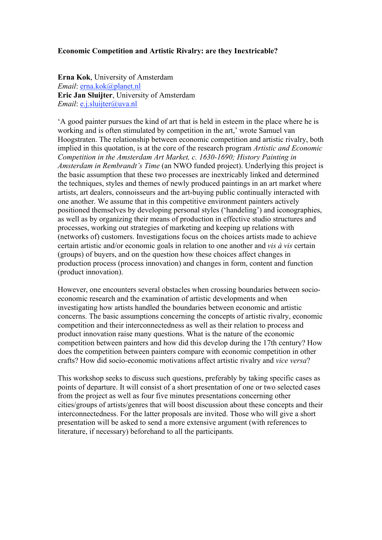## **Economic Competition and Artistic Rivalry: are they Inextricable?**

**Erna Kok**, University of Amsterdam *Email*: erna.kok@planet.nl **Eric Jan Sluijter**, University of Amsterdam *Email*: e.j.sluijter@uva.nl

'A good painter pursues the kind of art that is held in esteem in the place where he is working and is often stimulated by competition in the art,' wrote Samuel van Hoogstraten. The relationship between economic competition and artistic rivalry, both implied in this quotation, is at the core of the research program *Artistic and Economic Competition in the Amsterdam Art Market, c. 1630-1690; History Painting in Amsterdam in Rembrandt's Time* (an NWO funded project). Underlying this project is the basic assumption that these two processes are inextricably linked and determined the techniques, styles and themes of newly produced paintings in an art market where artists, art dealers, connoisseurs and the art-buying public continually interacted with one another. We assume that in this competitive environment painters actively positioned themselves by developing personal styles ('handeling') and iconographies, as well as by organizing their means of production in effective studio structures and processes, working out strategies of marketing and keeping up relations with (networks of) customers. Investigations focus on the choices artists made to achieve certain artistic and/or economic goals in relation to one another and *vis à vis* certain (groups) of buyers, and on the question how these choices affect changes in production process (process innovation) and changes in form, content and function (product innovation).

However, one encounters several obstacles when crossing boundaries between socioeconomic research and the examination of artistic developments and when investigating how artists handled the boundaries between economic and artistic concerns. The basic assumptions concerning the concepts of artistic rivalry, economic competition and their interconnectedness as well as their relation to process and product innovation raise many questions. What is the nature of the economic competition between painters and how did this develop during the 17th century? How does the competition between painters compare with economic competition in other crafts? How did socio-economic motivations affect artistic rivalry and *vice versa*?

This workshop seeks to discuss such questions, preferably by taking specific cases as points of departure. It will consist of a short presentation of one or two selected cases from the project as well as four five minutes presentations concerning other cities/groups of artists/genres that will boost discussion about these concepts and their interconnectedness. For the latter proposals are invited. Those who will give a short presentation will be asked to send a more extensive argument (with references to literature, if necessary) beforehand to all the participants.